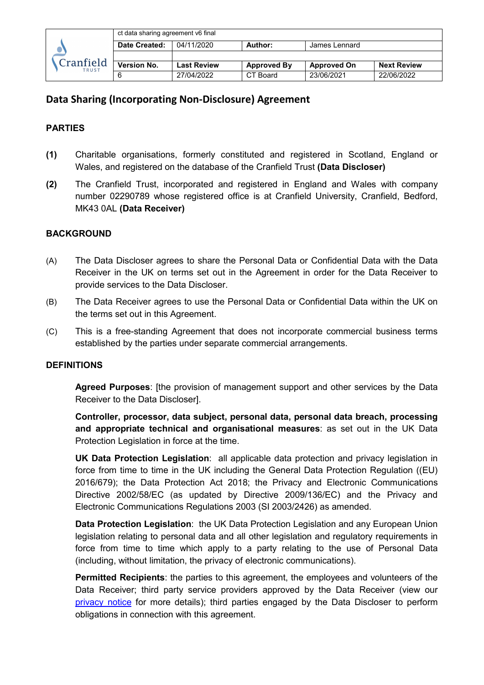|                           | ct data sharing agreement v6 final |             |                    |                    |                    |
|---------------------------|------------------------------------|-------------|--------------------|--------------------|--------------------|
| Cranfield<br><b>TRUST</b> | Date Created:                      | 04/11/2020  | Author:            | James Lennard      |                    |
|                           |                                    |             |                    |                    |                    |
|                           | <b>Version No.</b>                 | Last Review | <b>Approved By</b> | <b>Approved On</b> | <b>Next Review</b> |
|                           |                                    | 27/04/2022  | CT Board           | 23/06/2021         | 22/06/2022         |

#### **PARTIES**

- **(1)** Charitable organisations, formerly constituted and registered in Scotland, England or Wales, and registered on the database of the Cranfield Trust **(Data Discloser)**
- **(2)** The Cranfield Trust, incorporated and registered in England and Wales with company number 02290789 whose registered office is at Cranfield University, Cranfield, Bedford, MK43 0AL **(Data Receiver)**

#### **BACKGROUND**

- (A) The Data Discloser agrees to share the Personal Data or Confidential Data with the Data Receiver in the UK on terms set out in the Agreement in order for the Data Receiver to provide services to the Data Discloser.
- (B) The Data Receiver agrees to use the Personal Data or Confidential Data within the UK on the terms set out in this Agreement.
- (C) This is a free-standing Agreement that does not incorporate commercial business terms established by the parties under separate commercial arrangements.

#### **DEFINITIONS**

**Agreed Purposes**: [the provision of management support and other services by the Data Receiver to the Data Discloser].

**Controller, processor, data subject, personal data, personal data breach, processing and appropriate technical and organisational measures**: as set out in the UK Data Protection Legislation in force at the time.

**UK Data Protection Legislation**: all applicable data protection and privacy legislation in force from time to time in the UK including the General Data Protection Regulation ((EU) 2016/679); the Data Protection Act 2018; the Privacy and Electronic Communications Directive 2002/58/EC (as updated by Directive 2009/136/EC) and the Privacy and Electronic Communications Regulations 2003 (SI 2003/2426) as amended.

**Data Protection Legislation**: the UK Data Protection Legislation and any European Union legislation relating to personal data and all other legislation and regulatory requirements in force from time to time which apply to a party relating to the use of Personal Data (including, without limitation, the privacy of electronic communications).

**Permitted Recipients**: the parties to this agreement, the employees and volunteers of the Data Receiver; third party service providers approved by the Data Receiver (view our [privacy notice](https://hubble-live-assets.s3.amazonaws.com/cranfield-trust/redactor2_assets/files/979/GDPR_Privacy_Notice_-_Clients__Projects__FINAL_v2.pdf) for more details); third parties engaged by the Data Discloser to perform obligations in connection with this agreement.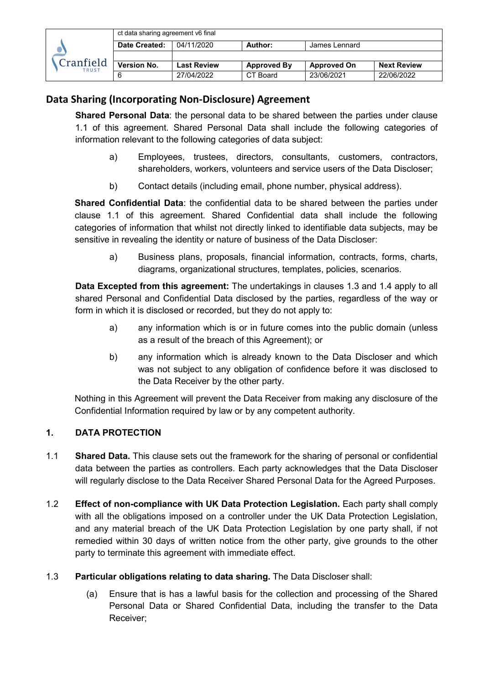| Cranfield<br><b>TRUST</b> | ct data sharing agreement v6 final |                    |                    |                    |                    |
|---------------------------|------------------------------------|--------------------|--------------------|--------------------|--------------------|
|                           | Date Created:                      | 04/11/2020         | Author:            | James Lennard      |                    |
|                           |                                    |                    |                    |                    |                    |
|                           | <b>Version No.</b>                 | <b>Last Review</b> | <b>Approved By</b> | <b>Approved On</b> | <b>Next Review</b> |
|                           |                                    | 27/04/2022         | CT Board           | 23/06/2021         | 22/06/2022         |

**Shared Personal Data**: the personal data to be shared between the parties under clause 1.1 of this agreement. Shared Personal Data shall include the following categories of information relevant to the following categories of data subject:

- a) Employees, trustees, directors, consultants, customers, contractors, shareholders, workers, volunteers and service users of the Data Discloser;
- b) Contact details (including email, phone number, physical address).

**Shared Confidential Data**: the confidential data to be shared between the parties under clause 1.1 of this agreement. Shared Confidential data shall include the following categories of information that whilst not directly linked to identifiable data subjects, may be sensitive in revealing the identity or nature of business of the Data Discloser:

a) Business plans, proposals, financial information, contracts, forms, charts, diagrams, organizational structures, templates, policies, scenarios.

**Data Excepted from this agreement:** The undertakings in clauses 1.3 and 1.4 apply to all shared Personal and Confidential Data disclosed by the parties, regardless of the way or form in which it is disclosed or recorded, but they do not apply to:

- a) any information which is or in future comes into the public domain (unless as a result of the breach of this Agreement); or
- b) any information which is already known to the Data Discloser and which was not subject to any obligation of confidence before it was disclosed to the Data Receiver by the other party.

Nothing in this Agreement will prevent the Data Receiver from making any disclosure of the Confidential Information required by law or by any competent authority.

## **1. DATA PROTECTION**

- 1.1 **Shared Data.** This clause sets out the framework for the sharing of personal or confidential data between the parties as controllers. Each party acknowledges that the Data Discloser will regularly disclose to the Data Receiver Shared Personal Data for the Agreed Purposes.
- 1.2 **Effect of non-compliance with UK Data Protection Legislation.** Each party shall comply with all the obligations imposed on a controller under the UK Data Protection Legislation, and any material breach of the UK Data Protection Legislation by one party shall, if not remedied within 30 days of written notice from the other party, give grounds to the other party to terminate this agreement with immediate effect.
- 1.3 **Particular obligations relating to data sharing.** The Data Discloser shall:
	- (a) Ensure that is has a lawful basis for the collection and processing of the Shared Personal Data or Shared Confidential Data, including the transfer to the Data Receiver;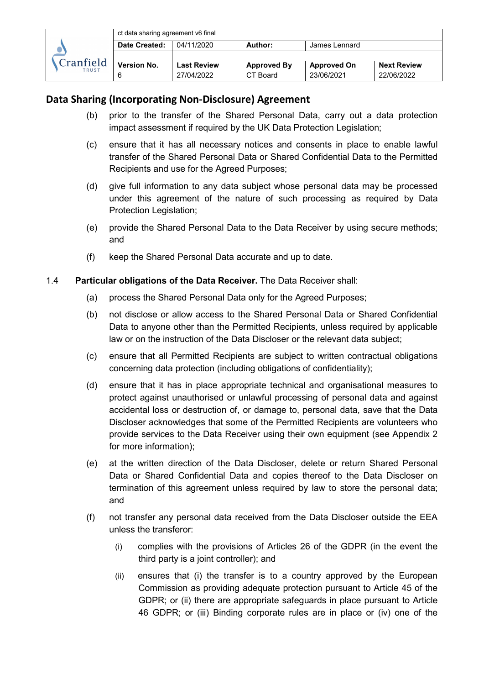

- (b) prior to the transfer of the Shared Personal Data, carry out a data protection impact assessment if required by the UK Data Protection Legislation;
- (c) ensure that it has all necessary notices and consents in place to enable lawful transfer of the Shared Personal Data or Shared Confidential Data to the Permitted Recipients and use for the Agreed Purposes;
- (d) give full information to any data subject whose personal data may be processed under this agreement of the nature of such processing as required by Data Protection Legislation;
- (e) provide the Shared Personal Data to the Data Receiver by using secure methods; and
- (f) keep the Shared Personal Data accurate and up to date.

#### 1.4 **Particular obligations of the Data Receiver.** The Data Receiver shall:

- (a) process the Shared Personal Data only for the Agreed Purposes;
- (b) not disclose or allow access to the Shared Personal Data or Shared Confidential Data to anyone other than the Permitted Recipients, unless required by applicable law or on the instruction of the Data Discloser or the relevant data subject;
- (c) ensure that all Permitted Recipients are subject to written contractual obligations concerning data protection (including obligations of confidentiality);
- (d) ensure that it has in place appropriate technical and organisational measures to protect against unauthorised or unlawful processing of personal data and against accidental loss or destruction of, or damage to, personal data, save that the Data Discloser acknowledges that some of the Permitted Recipients are volunteers who provide services to the Data Receiver using their own equipment (see Appendix 2 for more information);
- (e) at the written direction of the Data Discloser, delete or return Shared Personal Data or Shared Confidential Data and copies thereof to the Data Discloser on termination of this agreement unless required by law to store the personal data; and
- (f) not transfer any personal data received from the Data Discloser outside the EEA unless the transferor:
	- (i) complies with the provisions of Articles 26 of the GDPR (in the event the third party is a joint controller); and
	- (ii) ensures that (i) the transfer is to a country approved by the European Commission as providing adequate protection pursuant to Article 45 of the GDPR; or (ii) there are appropriate safeguards in place pursuant to Article 46 GDPR; or (iii) Binding corporate rules are in place or (iv) one of the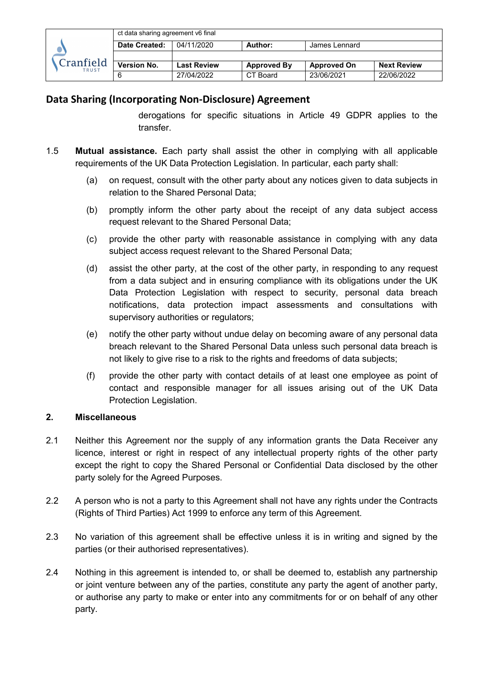|                           | ct data sharing agreement v6 final |                    |                    |                    |                    |
|---------------------------|------------------------------------|--------------------|--------------------|--------------------|--------------------|
| Cranfield<br><b>TRUST</b> | Date Created:                      | 04/11/2020         | Author:            | James Lennard      |                    |
|                           |                                    |                    |                    |                    |                    |
|                           | <b>Version No.</b>                 | <b>Last Review</b> | <b>Approved By</b> | <b>Approved On</b> | <b>Next Review</b> |
|                           |                                    | 27/04/2022         | CT Board           | 23/06/2021         | 22/06/2022         |

derogations for specific situations in Article 49 GDPR applies to the transfer.

- 1.5 **Mutual assistance.** Each party shall assist the other in complying with all applicable requirements of the UK Data Protection Legislation. In particular, each party shall:
	- (a) on request, consult with the other party about any notices given to data subjects in relation to the Shared Personal Data;
	- (b) promptly inform the other party about the receipt of any data subject access request relevant to the Shared Personal Data;
	- (c) provide the other party with reasonable assistance in complying with any data subject access request relevant to the Shared Personal Data;
	- (d) assist the other party, at the cost of the other party, in responding to any request from a data subject and in ensuring compliance with its obligations under the UK Data Protection Legislation with respect to security, personal data breach notifications, data protection impact assessments and consultations with supervisory authorities or regulators;
	- (e) notify the other party without undue delay on becoming aware of any personal data breach relevant to the Shared Personal Data unless such personal data breach is not likely to give rise to a risk to the rights and freedoms of data subjects;
	- (f) provide the other party with contact details of at least one employee as point of contact and responsible manager for all issues arising out of the UK Data Protection Legislation.

## **2. Miscellaneous**

- 2.1 Neither this Agreement nor the supply of any information grants the Data Receiver any licence, interest or right in respect of any intellectual property rights of the other party except the right to copy the Shared Personal or Confidential Data disclosed by the other party solely for the Agreed Purposes.
- 2.2 A person who is not a party to this Agreement shall not have any rights under the Contracts (Rights of Third Parties) Act 1999 to enforce any term of this Agreement.
- 2.3 No variation of this agreement shall be effective unless it is in writing and signed by the parties (or their authorised representatives).
- 2.4 Nothing in this agreement is intended to, or shall be deemed to, establish any partnership or joint venture between any of the parties, constitute any party the agent of another party, or authorise any party to make or enter into any commitments for or on behalf of any other party.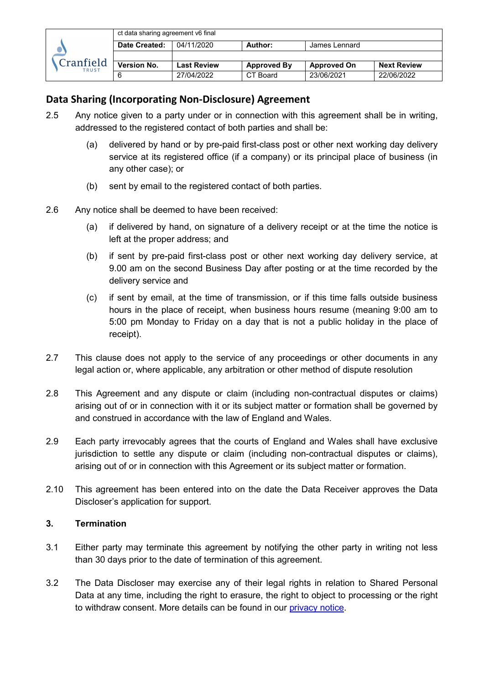

- 2.5 Any notice given to a party under or in connection with this agreement shall be in writing, addressed to the registered contact of both parties and shall be:
	- (a) delivered by hand or by pre-paid first-class post or other next working day delivery service at its registered office (if a company) or its principal place of business (in any other case); or
	- (b) sent by email to the registered contact of both parties.
- 2.6 Any notice shall be deemed to have been received:
	- (a) if delivered by hand, on signature of a delivery receipt or at the time the notice is left at the proper address; and
	- (b) if sent by pre-paid first-class post or other next working day delivery service, at 9.00 am on the second Business Day after posting or at the time recorded by the delivery service and
	- (c) if sent by email, at the time of transmission, or if this time falls outside business hours in the place of receipt, when business hours resume (meaning 9:00 am to 5:00 pm Monday to Friday on a day that is not a public holiday in the place of receipt).
- 2.7 This clause does not apply to the service of any proceedings or other documents in any legal action or, where applicable, any arbitration or other method of dispute resolution
- 2.8 This Agreement and any dispute or claim (including non-contractual disputes or claims) arising out of or in connection with it or its subject matter or formation shall be governed by and construed in accordance with the law of England and Wales.
- 2.9 Each party irrevocably agrees that the courts of England and Wales shall have exclusive jurisdiction to settle any dispute or claim (including non-contractual disputes or claims), arising out of or in connection with this Agreement or its subject matter or formation.
- 2.10 This agreement has been entered into on the date the Data Receiver approves the Data Discloser's application for support.

## **3. Termination**

- 3.1 Either party may terminate this agreement by notifying the other party in writing not less than 30 days prior to the date of termination of this agreement.
- 3.2 The Data Discloser may exercise any of their legal rights in relation to Shared Personal Data at any time, including the right to erasure, the right to object to processing or the right to withdraw consent. More details can be found in our [privacy notice.](https://hubble-live-assets.s3.amazonaws.com/cranfield-trust/redactor2_assets/files/979/GDPR_Privacy_Notice_-_Clients__Projects__FINAL_v2.pdf)